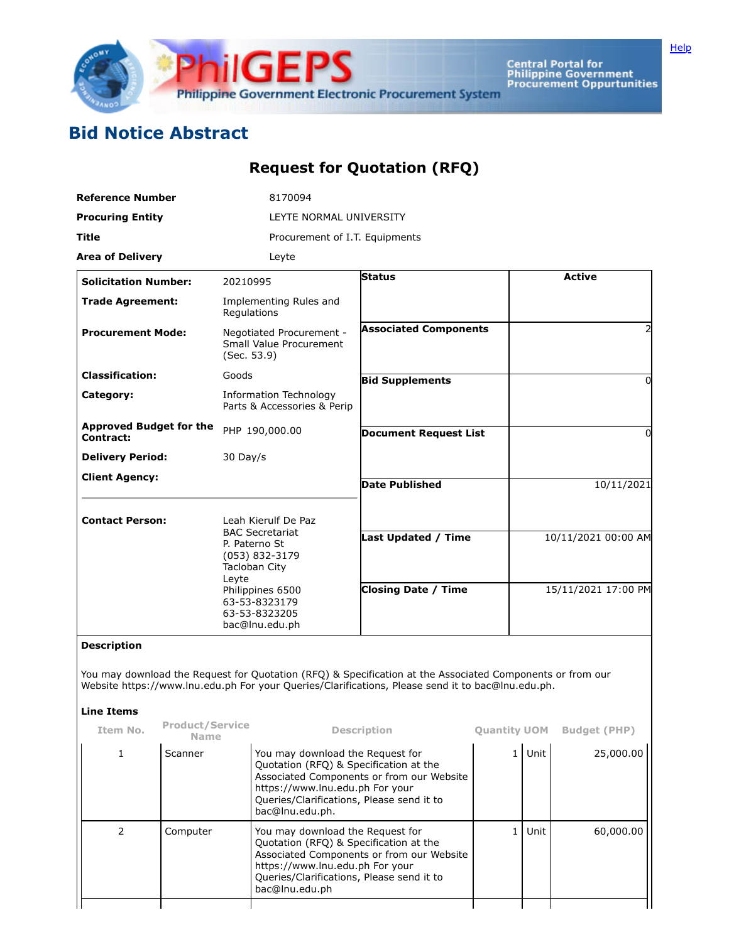

Central Portal for<br>Philippine Government<br>Procurement Oppurtunities

## **Bid Notice Abstract**

## **Request for Quotation (RFQ)**

| <b>Reference Number</b>                            |                                | 8170094                                                                                                                                                                                                        |                                                                                        |                     |            |                     |  |  |
|----------------------------------------------------|--------------------------------|----------------------------------------------------------------------------------------------------------------------------------------------------------------------------------------------------------------|----------------------------------------------------------------------------------------|---------------------|------------|---------------------|--|--|
| <b>Procuring Entity</b>                            |                                | LEYTE NORMAL UNIVERSITY                                                                                                                                                                                        |                                                                                        |                     |            |                     |  |  |
| Title                                              |                                | Procurement of I.T. Equipments                                                                                                                                                                                 |                                                                                        |                     |            |                     |  |  |
| <b>Area of Delivery</b>                            |                                | Leyte                                                                                                                                                                                                          |                                                                                        |                     |            |                     |  |  |
| <b>Solicitation Number:</b>                        |                                | 20210995                                                                                                                                                                                                       | <b>Status</b>                                                                          |                     |            | <b>Active</b>       |  |  |
| <b>Trade Agreement:</b>                            |                                | Implementing Rules and<br>Regulations                                                                                                                                                                          |                                                                                        |                     |            |                     |  |  |
| <b>Procurement Mode:</b>                           |                                | Negotiated Procurement -<br>Small Value Procurement<br>(Sec. 53.9)                                                                                                                                             | <b>Associated Components</b>                                                           |                     |            |                     |  |  |
| <b>Classification:</b>                             |                                | Goods                                                                                                                                                                                                          | <b>Bid Supplements</b>                                                                 |                     |            | 0                   |  |  |
| Category:                                          |                                | Information Technology<br>Parts & Accessories & Perip                                                                                                                                                          |                                                                                        |                     |            |                     |  |  |
| <b>Approved Budget for the</b><br><b>Contract:</b> |                                | PHP 190,000.00                                                                                                                                                                                                 | <b>Document Request List</b>                                                           |                     |            | 0                   |  |  |
| <b>Delivery Period:</b>                            |                                | 30 Day/s                                                                                                                                                                                                       |                                                                                        |                     |            |                     |  |  |
| <b>Client Agency:</b>                              |                                |                                                                                                                                                                                                                | <b>Date Published</b>                                                                  |                     | 10/11/2021 |                     |  |  |
| <b>Contact Person:</b>                             |                                | Leah Kierulf De Paz                                                                                                                                                                                            |                                                                                        |                     |            |                     |  |  |
|                                                    |                                | <b>BAC Secretariat</b><br>P. Paterno St<br>(053) 832-3179<br>Tacloban City<br>Leyte                                                                                                                            | <b>Last Updated / Time</b>                                                             |                     |            | 10/11/2021 00:00 AM |  |  |
|                                                    |                                | Philippines 6500<br>63-53-8323179<br>63-53-8323205<br>bac@lnu.edu.ph                                                                                                                                           | <b>Closing Date / Time</b>                                                             |                     |            | 15/11/2021 17:00 PM |  |  |
| <b>Description</b>                                 |                                |                                                                                                                                                                                                                |                                                                                        |                     |            |                     |  |  |
| <b>Line Items</b>                                  |                                | You may download the Request for Quotation (RFQ) & Specification at the Associated Components or from our<br>Website https://www.lnu.edu.ph For your Queries/Clarifications, Please send it to bac@lnu.edu.ph. |                                                                                        |                     |            |                     |  |  |
| Item No.                                           | Product/Service<br><b>Name</b> |                                                                                                                                                                                                                | <b>Description</b>                                                                     | <b>Quantity UOM</b> |            | <b>Budget (PHP)</b> |  |  |
| 1                                                  | Scanner                        | You may download the Request for<br>Quotation (RFQ) & Specification at the<br>https://www.lnu.edu.ph For your<br>bac@lnu.edu.ph.                                                                               | Associated Components or from our Website<br>Queries/Clarifications, Please send it to |                     | $1$ Unit   | 25,000.00           |  |  |
| $\overline{2}$                                     | Computer                       | You may download the Request for<br>Quotation (RFQ) & Specification at the<br>https://www.lnu.edu.ph For your<br>bac@lnu.edu.ph                                                                                | Associated Components or from our Website<br>Queries/Clarifications, Please send it to | 1 <sup>1</sup>      | Unit       | 60,000.00           |  |  |
|                                                    |                                |                                                                                                                                                                                                                |                                                                                        |                     |            |                     |  |  |